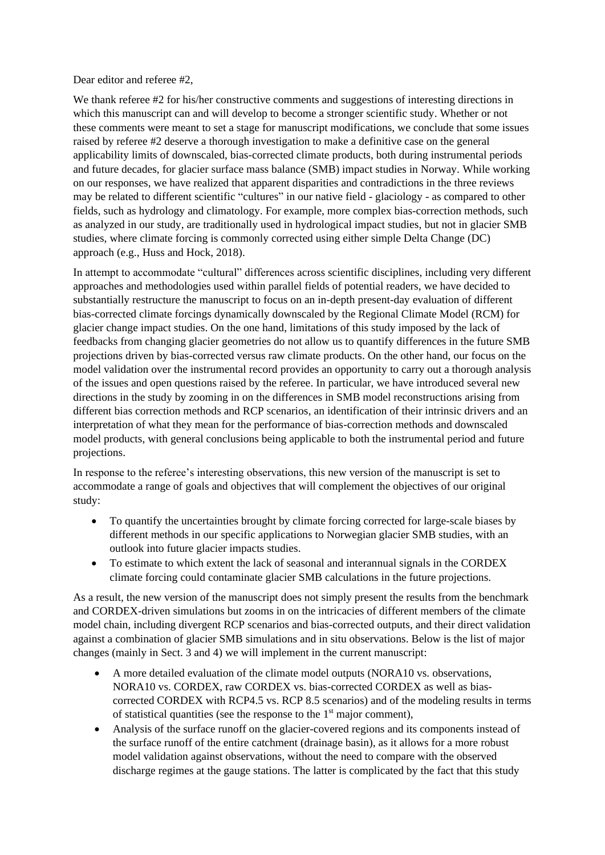Dear editor and referee #2,

We thank referee #2 for his/her constructive comments and suggestions of interesting directions in which this manuscript can and will develop to become a stronger scientific study. Whether or not these comments were meant to set a stage for manuscript modifications, we conclude that some issues raised by referee #2 deserve a thorough investigation to make a definitive case on the general applicability limits of downscaled, bias-corrected climate products, both during instrumental periods and future decades, for glacier surface mass balance (SMB) impact studies in Norway. While working on our responses, we have realized that apparent disparities and contradictions in the three reviews may be related to different scientific "cultures" in our native field - glaciology - as compared to other fields, such as hydrology and climatology. For example, more complex bias-correction methods, such as analyzed in our study, are traditionally used in hydrological impact studies, but not in glacier SMB studies, where climate forcing is commonly corrected using either simple Delta Change (DC) approach (e.g., Huss and Hock, 2018).

In attempt to accommodate "cultural" differences across scientific disciplines, including very different approaches and methodologies used within parallel fields of potential readers, we have decided to substantially restructure the manuscript to focus on an in-depth present-day evaluation of different bias-corrected climate forcings dynamically downscaled by the Regional Climate Model (RCM) for glacier change impact studies. On the one hand, limitations of this study imposed by the lack of feedbacks from changing glacier geometries do not allow us to quantify differences in the future SMB projections driven by bias-corrected versus raw climate products. On the other hand, our focus on the model validation over the instrumental record provides an opportunity to carry out a thorough analysis of the issues and open questions raised by the referee. In particular, we have introduced several new directions in the study by zooming in on the differences in SMB model reconstructions arising from different bias correction methods and RCP scenarios, an identification of their intrinsic drivers and an interpretation of what they mean for the performance of bias-correction methods and downscaled model products, with general conclusions being applicable to both the instrumental period and future projections.

In response to the referee's interesting observations, this new version of the manuscript is set to accommodate a range of goals and objectives that will complement the objectives of our original study:

- To quantify the uncertainties brought by climate forcing corrected for large-scale biases by different methods in our specific applications to Norwegian glacier SMB studies, with an outlook into future glacier impacts studies.
- To estimate to which extent the lack of seasonal and interannual signals in the CORDEX climate forcing could contaminate glacier SMB calculations in the future projections.

As a result, the new version of the manuscript does not simply present the results from the benchmark and CORDEX-driven simulations but zooms in on the intricacies of different members of the climate model chain, including divergent RCP scenarios and bias-corrected outputs, and their direct validation against a combination of glacier SMB simulations and in situ observations. Below is the list of major changes (mainly in Sect. 3 and 4) we will implement in the current manuscript:

- A more detailed evaluation of the climate model outputs (NORA10 vs. observations, NORA10 vs. CORDEX, raw CORDEX vs. bias-corrected CORDEX as well as biascorrected CORDEX with RCP4.5 vs. RCP 8.5 scenarios) and of the modeling results in terms of statistical quantities (see the response to the  $1<sup>st</sup>$  major comment),
- Analysis of the surface runoff on the glacier-covered regions and its components instead of the surface runoff of the entire catchment (drainage basin), as it allows for a more robust model validation against observations, without the need to compare with the observed discharge regimes at the gauge stations. The latter is complicated by the fact that this study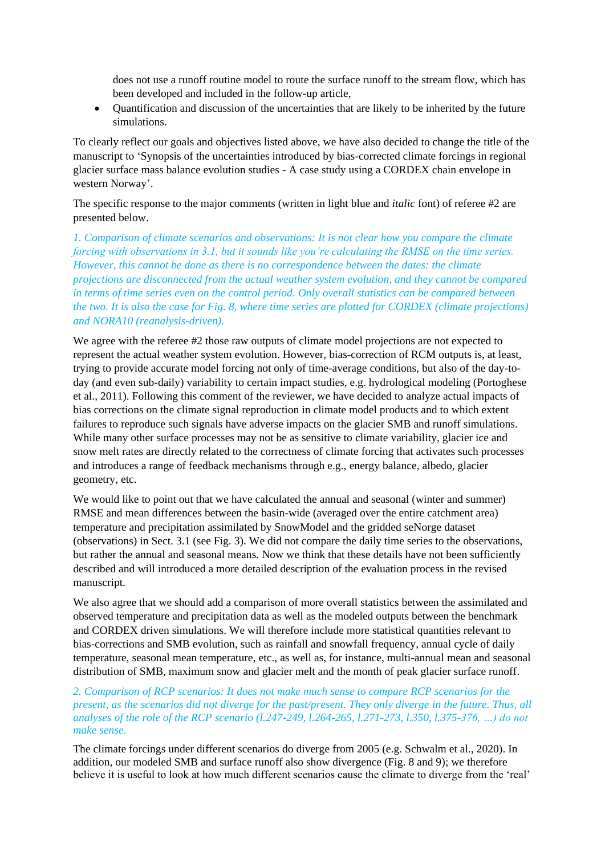does not use a runoff routine model to route the surface runoff to the stream flow, which has been developed and included in the follow-up article,

• Quantification and discussion of the uncertainties that are likely to be inherited by the future simulations.

To clearly reflect our goals and objectives listed above, we have also decided to change the title of the manuscript to 'Synopsis of the uncertainties introduced by bias-corrected climate forcings in regional glacier surface mass balance evolution studies - A case study using a CORDEX chain envelope in western Norway'.

The specific response to the major comments (written in light blue and *italic* font) of referee #2 are presented below.

*1. Comparison of climate scenarios and observations: It is not clear how you compare the climate forcing with observations in 3.1, but it sounds like you're calculating the RMSE on the time series. However, this cannot be done as there is no correspondence between the dates: the climate projections are disconnected from the actual weather system evolution, and they cannot be compared in terms of time series even on the control period. Only overall statistics can be compared between the two. It is also the case for Fig. 8, where time series are plotted for CORDEX (climate projections) and NORA10 (reanalysis-driven).*

We agree with the referee #2 those raw outputs of climate model projections are not expected to represent the actual weather system evolution. However, bias-correction of RCM outputs is, at least, trying to provide accurate model forcing not only of time-average conditions, but also of the day-today (and even sub-daily) variability to certain impact studies, e.g. hydrological modeling (Portoghese et al., 2011). Following this comment of the reviewer, we have decided to analyze actual impacts of bias corrections on the climate signal reproduction in climate model products and to which extent failures to reproduce such signals have adverse impacts on the glacier SMB and runoff simulations. While many other surface processes may not be as sensitive to climate variability, glacier ice and snow melt rates are directly related to the correctness of climate forcing that activates such processes and introduces a range of feedback mechanisms through e.g., energy balance, albedo, glacier geometry, etc.

We would like to point out that we have calculated the annual and seasonal (winter and summer) RMSE and mean differences between the basin-wide (averaged over the entire catchment area) temperature and precipitation assimilated by SnowModel and the gridded seNorge dataset (observations) in Sect. 3.1 (see Fig. 3). We did not compare the daily time series to the observations, but rather the annual and seasonal means. Now we think that these details have not been sufficiently described and will introduced a more detailed description of the evaluation process in the revised manuscript.

We also agree that we should add a comparison of more overall statistics between the assimilated and observed temperature and precipitation data as well as the modeled outputs between the benchmark and CORDEX driven simulations. We will therefore include more statistical quantities relevant to bias-corrections and SMB evolution, such as rainfall and snowfall frequency, annual cycle of daily temperature, seasonal mean temperature, etc., as well as, for instance, multi-annual mean and seasonal distribution of SMB, maximum snow and glacier melt and the month of peak glacier surface runoff.

# *2. Comparison of RCP scenarios: It does not make much sense to compare RCP scenarios for the present, as the scenarios did not diverge for the past/present. They only diverge in the future. Thus, all analyses of the role of the RCP scenario (l.247-249, l.264-265, l.271-273, l.350, l.375-376, …) do not make sense.*

The climate forcings under different scenarios do diverge from 2005 (e.g. Schwalm et al., 2020). In addition, our modeled SMB and surface runoff also show divergence (Fig. 8 and 9); we therefore believe it is useful to look at how much different scenarios cause the climate to diverge from the 'real'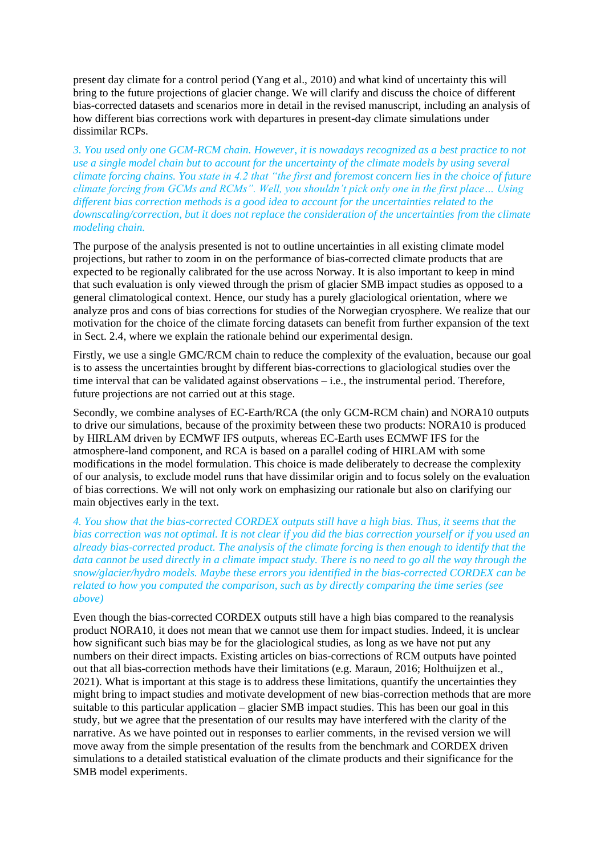present day climate for a control period (Yang et al., 2010) and what kind of uncertainty this will bring to the future projections of glacier change. We will clarify and discuss the choice of different bias-corrected datasets and scenarios more in detail in the revised manuscript, including an analysis of how different bias corrections work with departures in present-day climate simulations under dissimilar RCPs.

*3. You used only one GCM-RCM chain. However, it is nowadays recognized as a best practice to not use a single model chain but to account for the uncertainty of the climate models by using several climate forcing chains. You state in 4.2 that "the first and foremost concern lies in the choice of future climate forcing from GCMs and RCMs". Well, you shouldn't pick only one in the first place… Using different bias correction methods is a good idea to account for the uncertainties related to the downscaling/correction, but it does not replace the consideration of the uncertainties from the climate modeling chain.*

The purpose of the analysis presented is not to outline uncertainties in all existing climate model projections, but rather to zoom in on the performance of bias-corrected climate products that are expected to be regionally calibrated for the use across Norway. It is also important to keep in mind that such evaluation is only viewed through the prism of glacier SMB impact studies as opposed to a general climatological context. Hence, our study has a purely glaciological orientation, where we analyze pros and cons of bias corrections for studies of the Norwegian cryosphere. We realize that our motivation for the choice of the climate forcing datasets can benefit from further expansion of the text in Sect. 2.4, where we explain the rationale behind our experimental design.

Firstly, we use a single GMC/RCM chain to reduce the complexity of the evaluation, because our goal is to assess the uncertainties brought by different bias-corrections to glaciological studies over the time interval that can be validated against observations – i.e., the instrumental period. Therefore, future projections are not carried out at this stage.

Secondly, we combine analyses of EC-Earth/RCA (the only GCM-RCM chain) and NORA10 outputs to drive our simulations, because of the proximity between these two products: NORA10 is produced by HIRLAM driven by ECMWF IFS outputs, whereas EC-Earth uses ECMWF IFS for the atmosphere-land component, and RCA is based on a parallel coding of HIRLAM with some modifications in the model formulation. This choice is made deliberately to decrease the complexity of our analysis, to exclude model runs that have dissimilar origin and to focus solely on the evaluation of bias corrections. We will not only work on emphasizing our rationale but also on clarifying our main objectives early in the text.

*4. You show that the bias-corrected CORDEX outputs still have a high bias. Thus, it seems that the bias correction was not optimal. It is not clear if you did the bias correction yourself or if you used an already bias-corrected product. The analysis of the climate forcing is then enough to identify that the data cannot be used directly in a climate impact study. There is no need to go all the way through the snow/glacier/hydro models. Maybe these errors you identified in the bias-corrected CORDEX can be related to how you computed the comparison, such as by directly comparing the time series (see above)*

Even though the bias-corrected CORDEX outputs still have a high bias compared to the reanalysis product NORA10, it does not mean that we cannot use them for impact studies. Indeed, it is unclear how significant such bias may be for the glaciological studies, as long as we have not put any numbers on their direct impacts. Existing articles on bias-corrections of RCM outputs have pointed out that all bias-correction methods have their limitations (e.g. Maraun, 2016; Holthuijzen et al., 2021). What is important at this stage is to address these limitations, quantify the uncertainties they might bring to impact studies and motivate development of new bias-correction methods that are more suitable to this particular application – glacier SMB impact studies. This has been our goal in this study, but we agree that the presentation of our results may have interfered with the clarity of the narrative. As we have pointed out in responses to earlier comments, in the revised version we will move away from the simple presentation of the results from the benchmark and CORDEX driven simulations to a detailed statistical evaluation of the climate products and their significance for the SMB model experiments.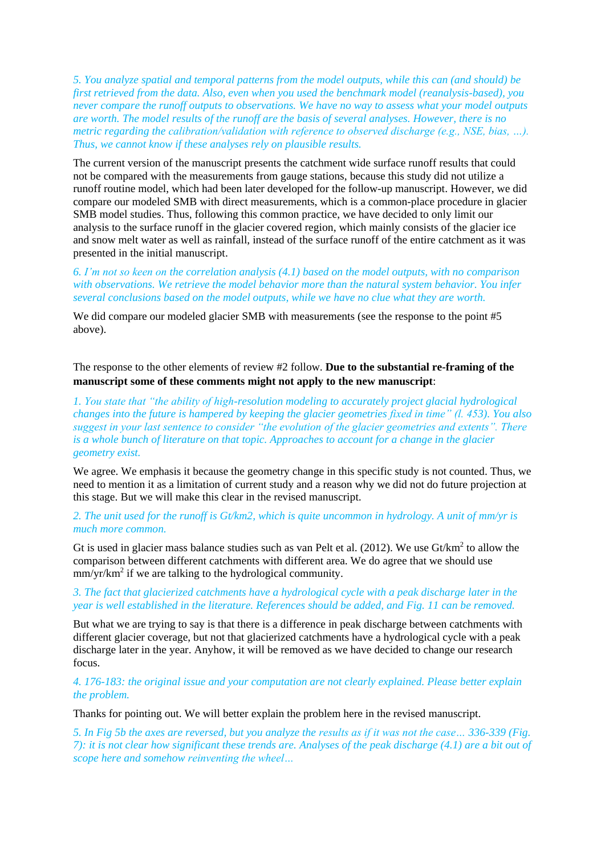*5. You analyze spatial and temporal patterns from the model outputs, while this can (and should) be first retrieved from the data. Also, even when you used the benchmark model (reanalysis-based), you never compare the runoff outputs to observations. We have no way to assess what your model outputs are worth. The model results of the runoff are the basis of several analyses. However, there is no metric regarding the calibration/validation with reference to observed discharge (e.g., NSE, bias, …). Thus, we cannot know if these analyses rely on plausible results.*

The current version of the manuscript presents the catchment wide surface runoff results that could not be compared with the measurements from gauge stations, because this study did not utilize a runoff routine model, which had been later developed for the follow-up manuscript. However, we did compare our modeled SMB with direct measurements, which is a common-place procedure in glacier SMB model studies. Thus, following this common practice, we have decided to only limit our analysis to the surface runoff in the glacier covered region, which mainly consists of the glacier ice and snow melt water as well as rainfall, instead of the surface runoff of the entire catchment as it was presented in the initial manuscript.

*6. I'm not so keen on the correlation analysis (4.1) based on the model outputs, with no comparison with observations. We retrieve the model behavior more than the natural system behavior. You infer several conclusions based on the model outputs, while we have no clue what they are worth.*

We did compare our modeled glacier SMB with measurements (see the response to the point #5 above).

The response to the other elements of review #2 follow. **Due to the substantial re-framing of the manuscript some of these comments might not apply to the new manuscript**:

*1. You state that "the ability of high-resolution modeling to accurately project glacial hydrological changes into the future is hampered by keeping the glacier geometries fixed in time" (l. 453). You also suggest in your last sentence to consider "the evolution of the glacier geometries and extents". There is a whole bunch of literature on that topic. Approaches to account for a change in the glacier geometry exist.*

We agree. We emphasis it because the geometry change in this specific study is not counted. Thus, we need to mention it as a limitation of current study and a reason why we did not do future projection at this stage. But we will make this clear in the revised manuscript.

*2. The unit used for the runoff is Gt/km2, which is quite uncommon in hydrology. A unit of mm/yr is much more common.*

Gt is used in glacier mass balance studies such as van Pelt et al.  $(2012)$ . We use Gt/km<sup>2</sup> to allow the comparison between different catchments with different area. We do agree that we should use mm/yr/km<sup>2</sup> if we are talking to the hydrological community.

## *3. The fact that glacierized catchments have a hydrological cycle with a peak discharge later in the year is well established in the literature. References should be added, and Fig. 11 can be removed.*

But what we are trying to say is that there is a difference in peak discharge between catchments with different glacier coverage, but not that glacierized catchments have a hydrological cycle with a peak discharge later in the year. Anyhow, it will be removed as we have decided to change our research focus.

*4. 176-183: the original issue and your computation are not clearly explained. Please better explain the problem.*

Thanks for pointing out. We will better explain the problem here in the revised manuscript.

*5. In Fig 5b the axes are reversed, but you analyze the results as if it was not the case… 336-339 (Fig. 7): it is not clear how significant these trends are. Analyses of the peak discharge (4.1) are a bit out of scope here and somehow reinventing the wheel…*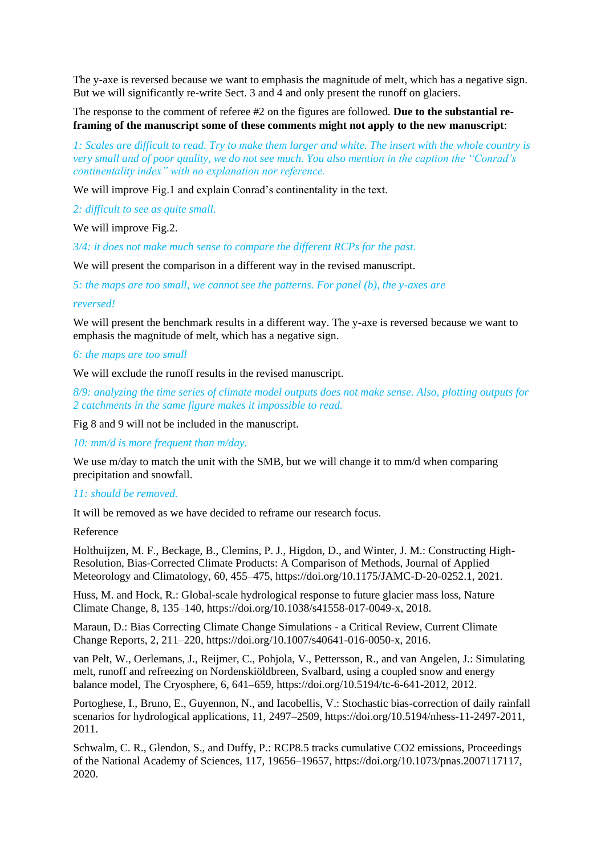The y-axe is reversed because we want to emphasis the magnitude of melt, which has a negative sign. But we will significantly re-write Sect. 3 and 4 and only present the runoff on glaciers.

The response to the comment of referee #2 on the figures are followed. **Due to the substantial reframing of the manuscript some of these comments might not apply to the new manuscript**:

*1: Scales are difficult to read. Try to make them larger and white. The insert with the whole country is very small and of poor quality, we do not see much. You also mention in the caption the "Conrad's continentality index" with no explanation nor reference.*

We will improve Fig.1 and explain Conrad's continentality in the text.

*2: difficult to see as quite small.*

We will improve Fig. 2.

*3/4: it does not make much sense to compare the different RCPs for the past.*

We will present the comparison in a different way in the revised manuscript.

*5: the maps are too small, we cannot see the patterns. For panel (b), the y-axes are*

#### *reversed!*

We will present the benchmark results in a different way. The y-axe is reversed because we want to emphasis the magnitude of melt, which has a negative sign.

## *6: the maps are too small*

We will exclude the runoff results in the revised manuscript.

*8/9: analyzing the time series of climate model outputs does not make sense. Also, plotting outputs for 2 catchments in the same figure makes it impossible to read.*

Fig 8 and 9 will not be included in the manuscript.

*10: mm/d is more frequent than m/day.*

We use m/day to match the unit with the SMB, but we will change it to mm/d when comparing precipitation and snowfall.

#### *11: should be removed.*

It will be removed as we have decided to reframe our research focus.

## Reference

Holthuijzen, M. F., Beckage, B., Clemins, P. J., Higdon, D., and Winter, J. M.: Constructing High-Resolution, Bias-Corrected Climate Products: A Comparison of Methods, Journal of Applied Meteorology and Climatology, 60, 455–475, https://doi.org/10.1175/JAMC-D-20-0252.1, 2021.

Huss, M. and Hock, R.: Global-scale hydrological response to future glacier mass loss, Nature Climate Change, 8, 135–140, https://doi.org/10.1038/s41558-017-0049-x, 2018.

Maraun, D.: Bias Correcting Climate Change Simulations - a Critical Review, Current Climate Change Reports, 2, 211–220, https://doi.org/10.1007/s40641-016-0050-x, 2016.

van Pelt, W., Oerlemans, J., Reijmer, C., Pohjola, V., Pettersson, R., and van Angelen, J.: Simulating melt, runoff and refreezing on Nordenskiöldbreen, Svalbard, using a coupled snow and energy balance model, The Cryosphere, 6, 641–659, https://doi.org/10.5194/tc-6-641-2012, 2012.

Portoghese, I., Bruno, E., Guyennon, N., and Iacobellis, V.: Stochastic bias-correction of daily rainfall scenarios for hydrological applications, 11, 2497–2509, https://doi.org/10.5194/nhess-11-2497-2011, 2011.

Schwalm, C. R., Glendon, S., and Duffy, P.: RCP8.5 tracks cumulative CO2 emissions, Proceedings of the National Academy of Sciences, 117, 19656–19657, https://doi.org/10.1073/pnas.2007117117, 2020.